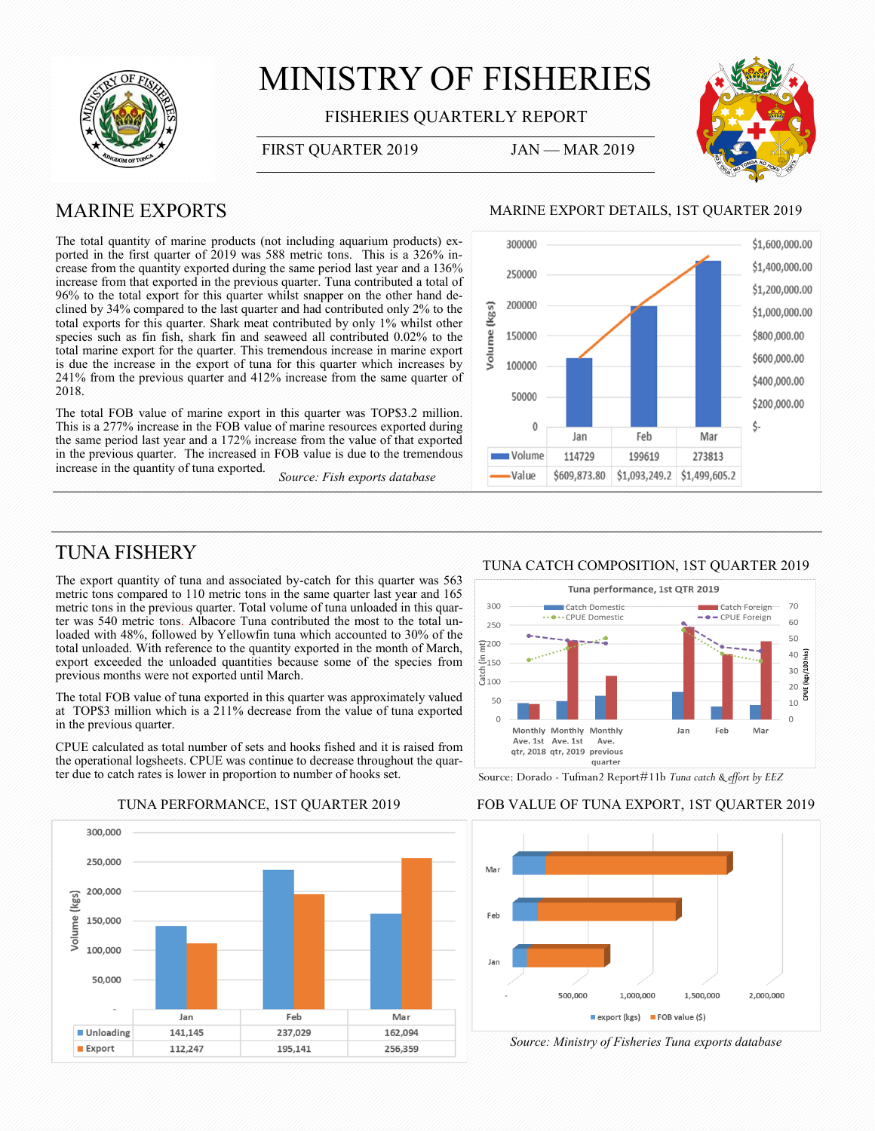

# MINISTRY OF FISHERIES

FISHERIES QUARTERLY REPORT

FIRST QUARTER 2019 JAN - MAR 2019



## MARINE EXPORTS

The total quantity of marine products (not including aquarium products) exported in the first quarter of 2019 was 588 metric tons. This is a 326% increase from the quantity exported during the same period last year and a 136% increase from that exported in the previous quarter. Tuna contributed a total of 96% to the total export for this quarter whilst snapper on the other hand declined by 34% compared to the last quarter and had contributed only 2% to the total exports for this quarter. Shark meat contributed by only 1% whilst other species such as fin fish, shark fin and seaweed all contributed 0.02% to the total marine export for the quarter. This tremendous increase in marine export is due the increase in the export of tuna for this quarter which increases by 241% from the previous quarter and 412% increase from the same quarter of 2018.

The total FOB value of marine export in this quarter was TOP\$3.2 million. This is a 277% increase in the FOB value of marine resources exported during the same period last year and a 172% increase from the value of that exported in the previous quarter. The increased in FOB value is due to the tremendous increase in the quantity of tuna exported.

*Source: Fish exports database*

#### MARINE EXPORT DETAILS, 1ST QUARTER 2019



## TUNA FISHERY

The export quantity of tuna and associated by-catch for this quarter was 563 metric tons compared to 110 metric tons in the same quarter last year and 165 metric tons in the previous quarter. Total volume of tuna unloaded in this quarter was 540 metric tons. Albacore Tuna contributed the most to the total unloaded with 48%, followed by Yellowfin tuna which accounted to 30% of the total unloaded. With reference to the quantity exported in the month of March, export exceeded the unloaded quantities because some of the species from previous months were not exported until March.

The total FOB value of tuna exported in this quarter was approximately valued at TOP\$3 million which is a 211% decrease from the value of tuna exported in the previous quarter.

CPUE calculated as total number of sets and hooks fished and it is raised from the operational logsheets. CPUE was continue to decrease throughout the quarter due to catch rates is lower in proportion to number of hooks set.



### TUNA CATCH COMPOSITION, 1ST QUARTER 2019



Source: Dorado - Tufman2 Report#11b *Tuna catch & effort by EEZ*

### TUNA PERFORMANCE, 1ST QUARTER 2019 FOB VALUE OF TUNA EXPORT, 1ST QUARTER 2019



*Source: Ministry of Fisheries Tuna exports database*